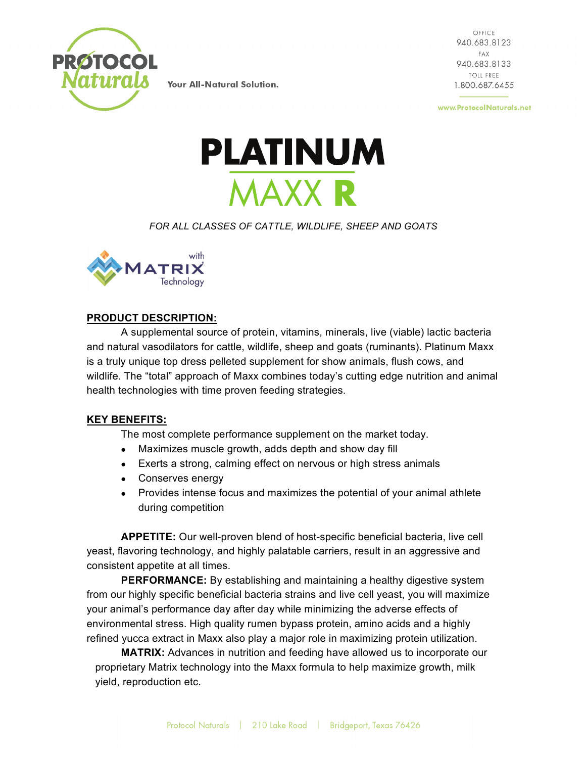

OFFICE 940.683.8123 FAX 940.683.8133 **TOLL FREE** 1.800.687.6455

www.ProtocolNaturals.net



# *FOR ALL CLASSES OF CATTLE, WILDLIFE, SHEEP AND GOATS*



# **PRODUCT DESCRIPTION:**

A supplemental source of protein, vitamins, minerals, live (viable) lactic bacteria and natural vasodilators for cattle, wildlife, sheep and goats (ruminants). Platinum Maxx is a truly unique top dress pelleted supplement for show animals, flush cows, and wildlife. The "total" approach of Maxx combines today's cutting edge nutrition and animal health technologies with time proven feeding strategies.

## **KEY BENEFITS:**

The most complete performance supplement on the market today.

- Maximizes muscle growth, adds depth and show day fill
- Exerts a strong, calming effect on nervous or high stress animals
- Conserves energy
- Provides intense focus and maximizes the potential of your animal athlete during competition

**APPETITE:** Our well-proven blend of host-specific beneficial bacteria, live cell yeast, flavoring technology, and highly palatable carriers, result in an aggressive and consistent appetite at all times.

**PERFORMANCE:** By establishing and maintaining a healthy digestive system from our highly specific beneficial bacteria strains and live cell yeast, you will maximize your animal's performance day after day while minimizing the adverse effects of environmental stress. High quality rumen bypass protein, amino acids and a highly refined yucca extract in Maxx also play a major role in maximizing protein utilization.

**MATRIX:** Advances in nutrition and feeding have allowed us to incorporate our proprietary Matrix technology into the Maxx formula to help maximize growth, milk yield, reproduction etc.